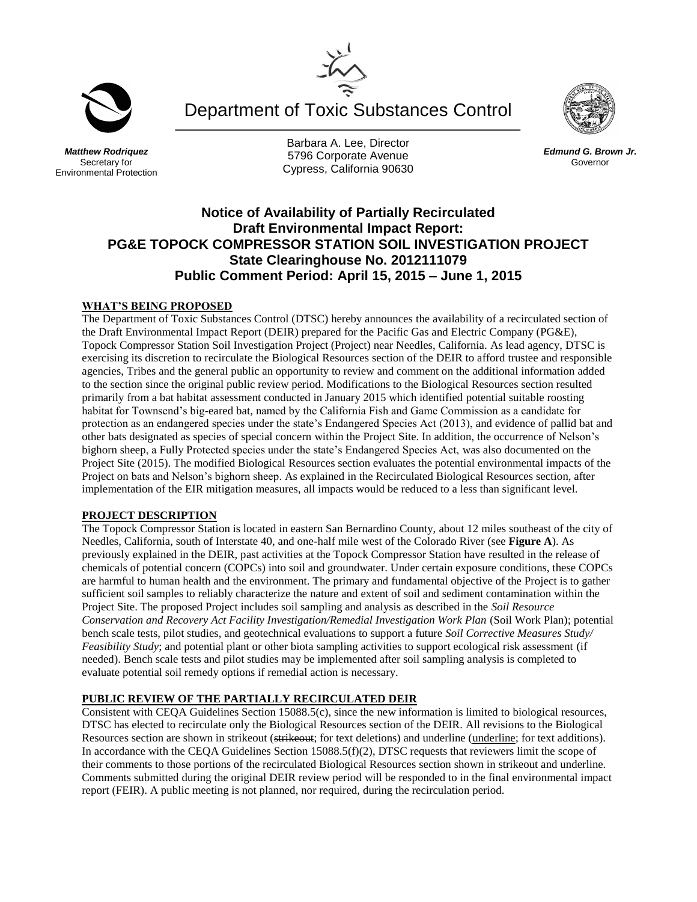

*Matthew Rodriquez* Secretary for Environmental Protection

Barbara A. Lee, Director 5796 Corporate Avenue Cypress, California 90630

Department of Toxic Substances Control



*Edmund G. Brown Jr.* Governor

# **Notice of Availability of Partially Recirculated Draft Environmental Impact Report: PG&E TOPOCK COMPRESSOR STATION SOIL INVESTIGATION PROJECT State Clearinghouse No. 2012111079 Public Comment Period: April 15, 2015 – June 1, 2015**

## **WHAT'S BEING PROPOSED**

The Department of Toxic Substances Control (DTSC) hereby announces the availability of a recirculated section of the Draft Environmental Impact Report (DEIR) prepared for the Pacific Gas and Electric Company (PG&E), Topock Compressor Station Soil Investigation Project (Project) near Needles, California. As lead agency, DTSC is exercising its discretion to recirculate the Biological Resources section of the DEIR to afford trustee and responsible agencies, Tribes and the general public an opportunity to review and comment on the additional information added to the section since the original public review period. Modifications to the Biological Resources section resulted primarily from a bat habitat assessment conducted in January 2015 which identified potential suitable roosting habitat for Townsend's big-eared bat, named by the California Fish and Game Commission as a candidate for protection as an endangered species under the state's Endangered Species Act (2013), and evidence of pallid bat and other bats designated as species of special concern within the Project Site. In addition, the occurrence of Nelson's bighorn sheep, a Fully Protected species under the state's Endangered Species Act, was also documented on the Project Site (2015). The modified Biological Resources section evaluates the potential environmental impacts of the Project on bats and Nelson's bighorn sheep. As explained in the Recirculated Biological Resources section, after implementation of the EIR mitigation measures, all impacts would be reduced to a less than significant level.

#### **PROJECT DESCRIPTION**

The Topock Compressor Station is located in eastern San Bernardino County, about 12 miles southeast of the city of Needles, California, south of Interstate 40, and one-half mile west of the Colorado River (see **Figure A**). As previously explained in the DEIR, past activities at the Topock Compressor Station have resulted in the release of chemicals of potential concern (COPCs) into soil and groundwater. Under certain exposure conditions, these COPCs are harmful to human health and the environment. The primary and fundamental objective of the Project is to gather sufficient soil samples to reliably characterize the nature and extent of soil and sediment contamination within the Project Site. The proposed Project includes soil sampling and analysis as described in the *Soil Resource Conservation and Recovery Act Facility Investigation/Remedial Investigation Work Plan* (Soil Work Plan); potential bench scale tests, pilot studies, and geotechnical evaluations to support a future *Soil Corrective Measures Study/ Feasibility Study*; and potential plant or other biota sampling activities to support ecological risk assessment (if needed). Bench scale tests and pilot studies may be implemented after soil sampling analysis is completed to evaluate potential soil remedy options if remedial action is necessary.

## **PUBLIC REVIEW OF THE PARTIALLY RECIRCULATED DEIR**

Consistent with CEQA Guidelines Section 15088.5(c), since the new information is limited to biological resources, DTSC has elected to recirculate only the Biological Resources section of the DEIR. All revisions to the Biological Resources section are shown in strikeout (strikeout; for text deletions) and underline (underline; for text additions). In accordance with the CEQA Guidelines Section 15088.5(f)(2), DTSC requests that reviewers limit the scope of their comments to those portions of the recirculated Biological Resources section shown in strikeout and underline. Comments submitted during the original DEIR review period will be responded to in the final environmental impact report (FEIR). A public meeting is not planned, nor required, during the recirculation period.